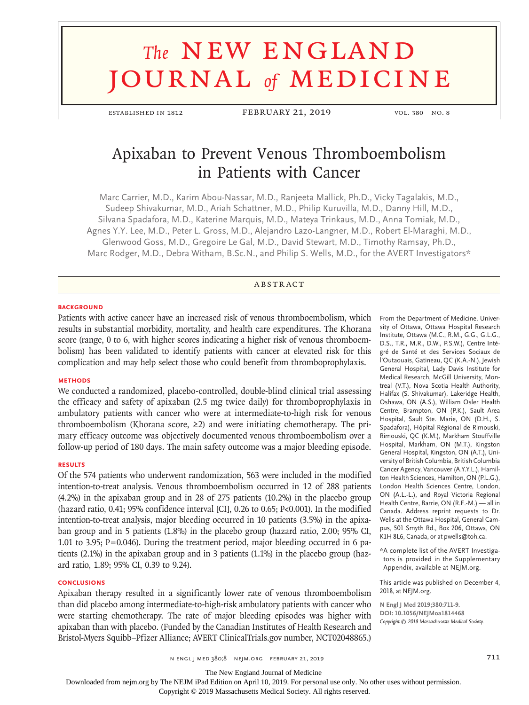# **The NEW ENGLAND** journal *of* medicine

ESTABLISHED IN 1812 FEBRUARY 21, 2019 VOL. 380 NO. 8

# Apixaban to Prevent Venous Thromboembolism in Patients with Cancer

Marc Carrier, M.D., Karim Abou-Nassar, M.D., Ranjeeta Mallick, Ph.D., Vicky Tagalakis, M.D., Sudeep Shivakumar, M.D., Ariah Schattner, M.D., Philip Kuruvilla, M.D., Danny Hill, M.D., Silvana Spadafora, M.D., Katerine Marquis, M.D., Mateya Trinkaus, M.D., Anna Tomiak, M.D., Agnes Y.Y. Lee, M.D., Peter L. Gross, M.D., Alejandro Lazo-Langner, M.D., Robert El-Maraghi, M.D., Glenwood Goss, M.D., Gregoire Le Gal, M.D., David Stewart, M.D., Timothy Ramsay, Ph.D., Marc Rodger, M.D., Debra Witham, B.Sc.N., and Philip S. Wells, M.D., for the AVERT Investigators\*

# **ABSTRACT**

#### **BACKGROUND**

Patients with active cancer have an increased risk of venous thromboembolism, which results in substantial morbidity, mortality, and health care expenditures. The Khorana score (range, 0 to 6, with higher scores indicating a higher risk of venous thromboembolism) has been validated to identify patients with cancer at elevated risk for this complication and may help select those who could benefit from thromboprophylaxis.

#### **METHODS**

We conducted a randomized, placebo-controlled, double-blind clinical trial assessing the efficacy and safety of apixaban (2.5 mg twice daily) for thromboprophylaxis in ambulatory patients with cancer who were at intermediate-to-high risk for venous thromboembolism (Khorana score, ≥2) and were initiating chemotherapy. The primary efficacy outcome was objectively documented venous thromboembolism over a follow-up period of 180 days. The main safety outcome was a major bleeding episode.

#### **RESULTS**

Of the 574 patients who underwent randomization, 563 were included in the modified intention-to-treat analysis. Venous thromboembolism occurred in 12 of 288 patients (4.2%) in the apixaban group and in 28 of 275 patients (10.2%) in the placebo group (hazard ratio, 0.41; 95% confidence interval [CI], 0.26 to 0.65; P<0.001). In the modified intention-to-treat analysis, major bleeding occurred in 10 patients (3.5%) in the apixaban group and in 5 patients (1.8%) in the placebo group (hazard ratio, 2.00; 95% CI, 1.01 to 3.95; P=0.046). During the treatment period, major bleeding occurred in 6 patients (2.1%) in the apixaban group and in 3 patients (1.1%) in the placebo group (hazard ratio, 1.89; 95% CI, 0.39 to 9.24).

#### **CONCLUSIONS**

Apixaban therapy resulted in a significantly lower rate of venous thromboembolism than did placebo among intermediate-to-high-risk ambulatory patients with cancer who were starting chemotherapy. The rate of major bleeding episodes was higher with apixaban than with placebo. (Funded by the Canadian Institutes of Health Research and Bristol-Myers Squibb–Pfizer Alliance; AVERT ClinicalTrials.gov number, NCT02048865.)

From the Department of Medicine, University of Ottawa, Ottawa Hospital Research Institute, Ottawa (M.C., R.M., G.G., G.L.G., D.S., T.R., M.R., D.W., P.S.W.), Centre Intégré de Santé et des Services Sociaux de l'Outaouais, Gatineau, QC (K.A.-N.), Jewish General Hospital, Lady Davis Institute for Medical Research, McGill University, Montreal (V.T.), Nova Scotia Health Authority, Halifax (S. Shivakumar), Lakeridge Health, Oshawa, ON (A.S.), William Osler Health Centre, Brampton, ON (P.K.), Sault Area Hospital, Sault Ste. Marie, ON (D.H., S. Spadafora), Hôpital Régional de Rimouski, Rimouski, QC (K.M.), Markham Stouffville Hospital, Markham, ON (M.T.), Kingston General Hospital, Kingston, ON (A.T.), University of British Columbia, British Columbia Cancer Agency, Vancouver (A.Y.Y.L.), Hamilton Health Sciences, Hamilton, ON (P.L.G.), London Health Sciences Centre, London, ON (A.L.-L.), and Royal Victoria Regional Health Centre, Barrie, ON (R.E.-M.) — all in Canada. Address reprint requests to Dr. Wells at the Ottawa Hospital, General Campus, 501 Smyth Rd., Box 206, Ottawa, ON .<br>K1H 8L6, Canada, or at pwells@toh.ca.

\*A complete list of the AVERT Investigators is provided in the Supplementary Appendix, available at NEJM.org.

This article was published on December 4, 2018, at NEJM.org.

**N Engl J Med 2019;380:711-9. DOI: 10.1056/NEJMoa1814468** *Copyright © 2018 Massachusetts Medical Society.*

n engl j med 380;8 nejm.org February 21, 2019 711

The New England Journal of Medicine

Downloaded from nejm.org by The NEJM iPad Edition on April 10, 2019. For personal use only. No other uses without permission.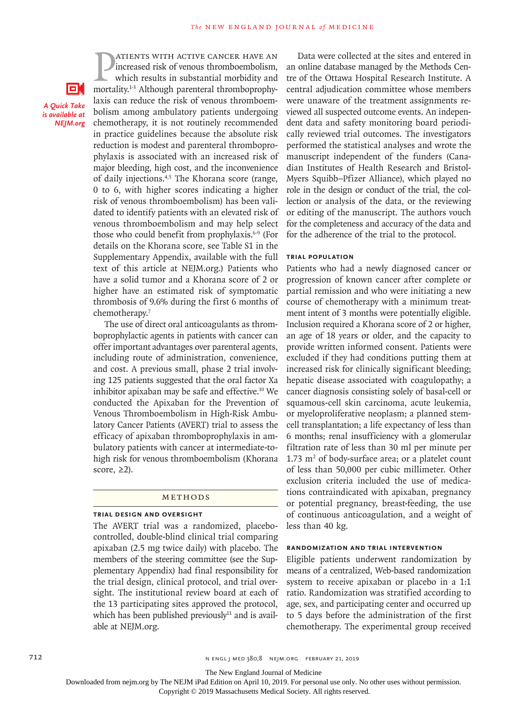oн *A Quick Take is available at NEJM.org*

**PATIENTS WITH ACTIVE CANCER HAVE AN increased risk of venous thromboembolism, which results in substantial morbidity and mortality.<sup>1-3</sup> Although parenteral thromboprophy**increased risk of venous thromboembolism, which results in substantial morbidity and mortality.<sup>1-3</sup> Although parenteral thromboprophylaxis can reduce the risk of venous thromboembolism among ambulatory patients undergoing chemotherapy, it is not routinely recommended in practice guidelines because the absolute risk reduction is modest and parenteral thromboprophylaxis is associated with an increased risk of major bleeding, high cost, and the inconvenience of daily injections.<sup>4,5</sup> The Khorana score (range, 0 to 6, with higher scores indicating a higher risk of venous thromboembolism) has been validated to identify patients with an elevated risk of venous thromboembolism and may help select those who could benefit from prophylaxis.6-9 (For details on the Khorana score, see Table S1 in the Supplementary Appendix, available with the full text of this article at NEJM.org.) Patients who have a solid tumor and a Khorana score of 2 or higher have an estimated risk of symptomatic thrombosis of 9.6% during the first 6 months of chemotherapy.7

The use of direct oral anticoagulants as thromboprophylactic agents in patients with cancer can offer important advantages over parenteral agents, including route of administration, convenience, and cost. A previous small, phase 2 trial involving 125 patients suggested that the oral factor Xa inhibitor apixaban may be safe and effective.<sup>10</sup> We conducted the Apixaban for the Prevention of Venous Thromboembolism in High-Risk Ambulatory Cancer Patients (AVERT) trial to assess the efficacy of apixaban thromboprophylaxis in ambulatory patients with cancer at intermediate-tohigh risk for venous thromboembolism (Khorana score,  $\geq$ 2).

#### METHODS

#### **Trial Design and Oversight**

The AVERT trial was a randomized, placebocontrolled, double-blind clinical trial comparing apixaban (2.5 mg twice daily) with placebo. The members of the steering committee (see the Supplementary Appendix) had final responsibility for the trial design, clinical protocol, and trial oversight. The institutional review board at each of the 13 participating sites approved the protocol, which has been published previously<sup>11</sup> and is available at NEJM.org.

Data were collected at the sites and entered in an online database managed by the Methods Centre of the Ottawa Hospital Research Institute. A central adjudication committee whose members were unaware of the treatment assignments reviewed all suspected outcome events. An independent data and safety monitoring board periodically reviewed trial outcomes. The investigators performed the statistical analyses and wrote the manuscript independent of the funders (Canadian Institutes of Health Research and Bristol-Myers Squibb–Pfizer Alliance), which played no role in the design or conduct of the trial, the collection or analysis of the data, or the reviewing or editing of the manuscript. The authors vouch for the completeness and accuracy of the data and for the adherence of the trial to the protocol.

#### **Trial Population**

Patients who had a newly diagnosed cancer or progression of known cancer after complete or partial remission and who were initiating a new course of chemotherapy with a minimum treatment intent of 3 months were potentially eligible. Inclusion required a Khorana score of 2 or higher, an age of 18 years or older, and the capacity to provide written informed consent. Patients were excluded if they had conditions putting them at increased risk for clinically significant bleeding; hepatic disease associated with coagulopathy; a cancer diagnosis consisting solely of basal-cell or squamous-cell skin carcinoma, acute leukemia, or myeloproliferative neoplasm; a planned stemcell transplantation; a life expectancy of less than 6 months; renal insufficiency with a glomerular filtration rate of less than 30 ml per minute per  $1.73 \text{ m}^2$  of body-surface area; or a platelet count of less than 50,000 per cubic millimeter. Other exclusion criteria included the use of medications contraindicated with apixaban, pregnancy or potential pregnancy, breast-feeding, the use of continuous anticoagulation, and a weight of less than 40 kg.

# **Randomization and Trial Intervention**

Eligible patients underwent randomization by means of a centralized, Web-based randomization system to receive apixaban or placebo in a 1:1 ratio. Randomization was stratified according to age, sex, and participating center and occurred up to 5 days before the administration of the first chemotherapy. The experimental group received

712 n engl j med 380;8 nejm.org February 21, 2019

The New England Journal of Medicine

Downloaded from nejm.org by The NEJM iPad Edition on April 10, 2019. For personal use only. No other uses without permission.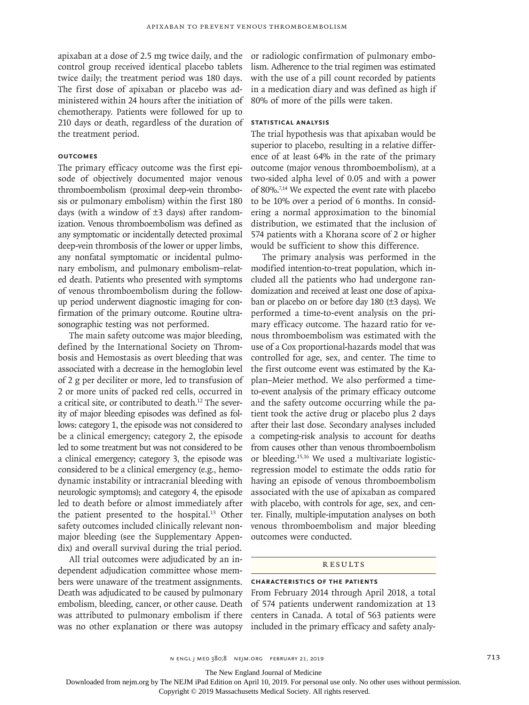apixaban at a dose of 2.5 mg twice daily, and the control group received identical placebo tablets twice daily; the treatment period was 180 days. The first dose of apixaban or placebo was administered within 24 hours after the initiation of chemotherapy. Patients were followed for up to 210 days or death, regardless of the duration of the treatment period.

### **Outcomes**

The primary efficacy outcome was the first episode of objectively documented major venous thromboembolism (proximal deep-vein thrombosis or pulmonary embolism) within the first 180 days (with a window of  $\pm 3$  days) after randomization. Venous thromboembolism was defined as any symptomatic or incidentally detected proximal deep-vein thrombosis of the lower or upper limbs, any nonfatal symptomatic or incidental pulmonary embolism, and pulmonary embolism–related death. Patients who presented with symptoms of venous thromboembolism during the followup period underwent diagnostic imaging for confirmation of the primary outcome. Routine ultrasonographic testing was not performed.

The main safety outcome was major bleeding, defined by the International Society on Thrombosis and Hemostasis as overt bleeding that was associated with a decrease in the hemoglobin level of 2 g per deciliter or more, led to transfusion of 2 or more units of packed red cells, occurred in a critical site, or contributed to death.12 The severity of major bleeding episodes was defined as follows: category 1, the episode was not considered to be a clinical emergency; category 2, the episode led to some treatment but was not considered to be a clinical emergency; category 3, the episode was considered to be a clinical emergency (e.g., hemodynamic instability or intracranial bleeding with neurologic symptoms); and category 4, the episode led to death before or almost immediately after the patient presented to the hospital.13 Other safety outcomes included clinically relevant nonmajor bleeding (see the Supplementary Appendix) and overall survival during the trial period.

All trial outcomes were adjudicated by an independent adjudication committee whose members were unaware of the treatment assignments. Death was adjudicated to be caused by pulmonary embolism, bleeding, cancer, or other cause. Death was attributed to pulmonary embolism if there was no other explanation or there was autopsy or radiologic confirmation of pulmonary embolism. Adherence to the trial regimen was estimated with the use of a pill count recorded by patients in a medication diary and was defined as high if 80% of more of the pills were taken.

# **Statistical Analysis**

The trial hypothesis was that apixaban would be superior to placebo, resulting in a relative difference of at least 64% in the rate of the primary outcome (major venous thromboembolism), at a two-sided alpha level of 0.05 and with a power of 80%.7,14 We expected the event rate with placebo to be 10% over a period of 6 months. In considering a normal approximation to the binomial distribution, we estimated that the inclusion of 574 patients with a Khorana score of 2 or higher would be sufficient to show this difference.

The primary analysis was performed in the modified intention-to-treat population, which included all the patients who had undergone randomization and received at least one dose of apixaban or placebo on or before day 180 (±3 days). We performed a time-to-event analysis on the primary efficacy outcome. The hazard ratio for venous thromboembolism was estimated with the use of a Cox proportional-hazards model that was controlled for age, sex, and center. The time to the first outcome event was estimated by the Kaplan–Meier method. We also performed a timeto-event analysis of the primary efficacy outcome and the safety outcome occurring while the patient took the active drug or placebo plus 2 days after their last dose. Secondary analyses included a competing-risk analysis to account for deaths from causes other than venous thromboembolism or bleeding.15,16 We used a multivariate logisticregression model to estimate the odds ratio for having an episode of venous thromboembolism associated with the use of apixaban as compared with placebo, with controls for age, sex, and center. Finally, multiple-imputation analyses on both venous thromboembolism and major bleeding outcomes were conducted.

#### **RESULTS**

#### **Characteristics of the Patients**

From February 2014 through April 2018, a total of 574 patients underwent randomization at 13 centers in Canada. A total of 563 patients were included in the primary efficacy and safety analy-

The New England Journal of Medicine

Downloaded from nejm.org by The NEJM iPad Edition on April 10, 2019. For personal use only. No other uses without permission.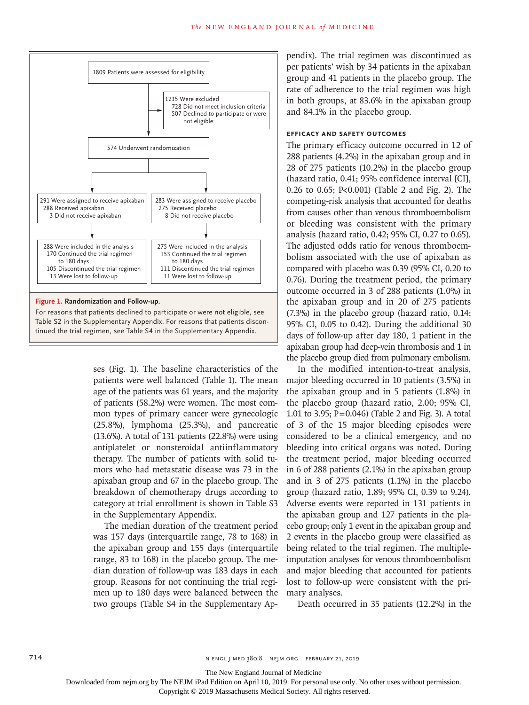

**Figure 1. Randomization and Follow-up.**

For reasons that patients declined to participate or were not eligible, see Table S2 in the Supplementary Appendix. For reasons that patients discontinued the trial regimen, see Table S4 in the Supplementary Appendix.

> ses (Fig. 1). The baseline characteristics of the patients were well balanced (Table 1). The mean age of the patients was 61 years, and the majority of patients (58.2%) were women. The most common types of primary cancer were gynecologic (25.8%), lymphoma (25.3%), and pancreatic (13.6%). A total of 131 patients (22.8%) were using antiplatelet or nonsteroidal antiinflammatory therapy. The number of patients with solid tumors who had metastatic disease was 73 in the apixaban group and 67 in the placebo group. The breakdown of chemotherapy drugs according to category at trial enrollment is shown in Table S3 in the Supplementary Appendix.

> The median duration of the treatment period was 157 days (interquartile range, 78 to 168) in the apixaban group and 155 days (interquartile range, 83 to 168) in the placebo group. The median duration of follow-up was 183 days in each group. Reasons for not continuing the trial regimen up to 180 days were balanced between the two groups (Table S4 in the Supplementary Ap

pendix). The trial regimen was discontinued as per patients' wish by 34 patients in the apixaban group and 41 patients in the placebo group. The rate of adherence to the trial regimen was high in both groups, at 83.6% in the apixaban group and 84.1% in the placebo group.

### **Efficacy and Safety Outcomes**

The primary efficacy outcome occurred in 12 of 288 patients (4.2%) in the apixaban group and in 28 of 275 patients (10.2%) in the placebo group (hazard ratio, 0.41; 95% confidence interval [CI], 0.26 to 0.65; P<0.001) (Table 2 and Fig. 2). The competing-risk analysis that accounted for deaths from causes other than venous thromboembolism or bleeding was consistent with the primary analysis (hazard ratio, 0.42; 95% CI, 0.27 to 0.65). The adjusted odds ratio for venous thromboembolism associated with the use of apixaban as compared with placebo was 0.39 (95% CI, 0.20 to 0.76). During the treatment period, the primary outcome occurred in 3 of 288 patients (1.0%) in the apixaban group and in 20 of 275 patients (7.3%) in the placebo group (hazard ratio, 0.14; 95% CI, 0.05 to 0.42). During the additional 30 days of follow-up after day 180, 1 patient in the apixaban group had deep-vein thrombosis and 1 in the placebo group died from pulmonary embolism.

In the modified intention-to-treat analysis, major bleeding occurred in 10 patients (3.5%) in the apixaban group and in 5 patients (1.8%) in the placebo group (hazard ratio, 2.00; 95% CI, 1.01 to 3.95; P=0.046) (Table 2 and Fig. 3). A total of 3 of the 15 major bleeding episodes were considered to be a clinical emergency, and no bleeding into critical organs was noted. During the treatment period, major bleeding occurred in 6 of 288 patients (2.1%) in the apixaban group and in 3 of 275 patients (1.1%) in the placebo group (hazard ratio, 1.89; 95% CI, 0.39 to 9.24). Adverse events were reported in 131 patients in the apixaban group and 127 patients in the placebo group; only 1 event in the apixaban group and 2 events in the placebo group were classified as being related to the trial regimen. The multipleimputation analyses for venous thromboembolism and major bleeding that accounted for patients lost to follow-up were consistent with the primary analyses.

Death occurred in 35 patients (12.2%) in the

714 n engl j med 380;8 nejm.org February 21, 2019

The New England Journal of Medicine

Downloaded from nejm.org by The NEJM iPad Edition on April 10, 2019. For personal use only. No other uses without permission.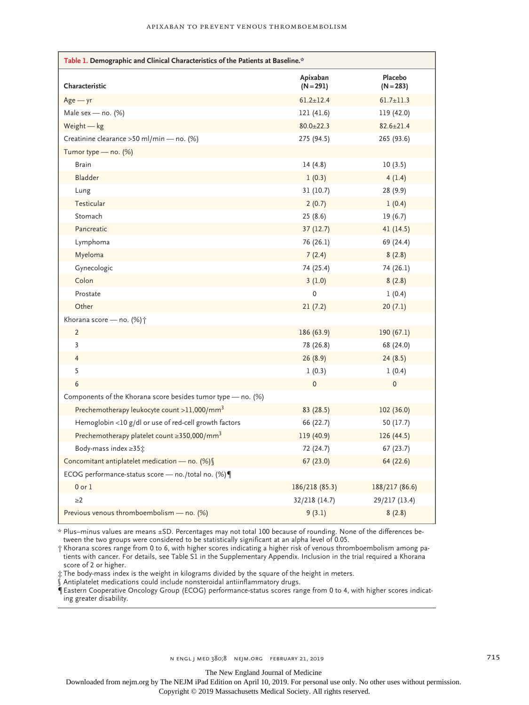| Table 1. Demographic and Clinical Characteristics of the Patients at Baseline.* |                         |                        |  |  |
|---------------------------------------------------------------------------------|-------------------------|------------------------|--|--|
| Characteristic                                                                  | Apixaban<br>$(N = 291)$ | Placebo<br>$(N = 283)$ |  |  |
| $Age - yr$                                                                      | $61.2 \pm 12.4$         | $61.7 \pm 11.3$        |  |  |
| Male sex — no. $(\%)$                                                           | 121 (41.6)              | 119 (42.0)             |  |  |
| Weight — kg                                                                     | $80.0 \pm 22.3$         | $82.6 \pm 21.4$        |  |  |
| Creatinine clearance > 50 ml/min - no. (%)                                      | 275 (94.5)              | 265 (93.6)             |  |  |
| Tumor type - no. (%)                                                            |                         |                        |  |  |
| <b>Brain</b>                                                                    | 14(4.8)                 | 10(3.5)                |  |  |
| <b>Bladder</b>                                                                  | 1(0.3)                  | 4(1.4)                 |  |  |
| Lung                                                                            | 31(10.7)                | 28 (9.9)               |  |  |
| Testicular                                                                      | 2(0.7)                  | 1(0.4)                 |  |  |
| Stomach                                                                         | 25(8.6)                 | 19(6.7)                |  |  |
| Pancreatic                                                                      | 37(12.7)                | 41 (14.5)              |  |  |
| Lymphoma                                                                        | 76 (26.1)               | 69 (24.4)              |  |  |
| Myeloma                                                                         | 7(2.4)                  | 8(2.8)                 |  |  |
| Gynecologic                                                                     | 74 (25.4)               | 74 (26.1)              |  |  |
| Colon                                                                           | 3(1.0)                  | 8(2.8)                 |  |  |
| Prostate                                                                        | $\mathbf 0$             | 1(0.4)                 |  |  |
| Other                                                                           | 21(7.2)                 | 20(7.1)                |  |  |
| Khorana score — no. $(\%)\dagger$                                               |                         |                        |  |  |
| $\overline{2}$                                                                  | 186 (63.9)              | 190 (67.1)             |  |  |
| 3                                                                               | 78 (26.8)               | 68 (24.0)              |  |  |
| $\overline{4}$                                                                  | 26(8.9)                 | 24 (8.5)               |  |  |
| 5                                                                               | 1(0.3)                  | 1(0.4)                 |  |  |
| 6                                                                               | $\mathbf 0$             | $\pmb{0}$              |  |  |
| Components of the Khorana score besides tumor type — no. $(\%)$                 |                         |                        |  |  |
| Prechemotherapy leukocyte count >11,000/mm <sup>3</sup>                         | 83(28.5)                | 102(36.0)              |  |  |
| Hemoglobin <10 g/dl or use of red-cell growth factors                           | 66 (22.7)               | 50 (17.7)              |  |  |
| Prechemotherapy platelet count $\geq$ 350,000/mm <sup>3</sup>                   | 119 (40.9)              | 126 (44.5)             |  |  |
| Body-mass index ≥35‡                                                            | 72 (24.7)               | 67(23.7)               |  |  |
| Concomitant antiplatelet medication - no. $(\%)$                                | 67(23.0)                | 64 (22.6)              |  |  |
| ECOG performance-status score — no./total no. (%) $\P$                          |                         |                        |  |  |
| $0$ or $1$                                                                      | 186/218 (85.3)          | 188/217 (86.6)         |  |  |
| $\geq$ 2                                                                        | 32/218 (14.7)           | 29/217 (13.4)          |  |  |
| Previous venous thromboembolism - no. (%)                                       | 9(3.1)                  | 8(2.8)                 |  |  |

\* Plus–minus values are means ±SD. Percentages may not total 100 because of rounding. None of the differences between the two groups were considered to be statistically significant at an alpha level of 0.05.

† Khorana scores range from 0 to 6, with higher scores indicating a higher risk of venous thromboembolism among patients with cancer. For details, see Table S1 in the Supplementary Appendix. Inclusion in the trial required a Khorana score of 2 or higher.

‡ The body-mass index is the weight in kilograms divided by the square of the height in meters.

Antiplatelet medications could include nonsteroidal antiinflammatory drugs.

¶ Eastern Cooperative Oncology Group (ECOG) performance-status scores range from 0 to 4, with higher scores indicating greater disability.

The New England Journal of Medicine

Downloaded from nejm.org by The NEJM iPad Edition on April 10, 2019. For personal use only. No other uses without permission.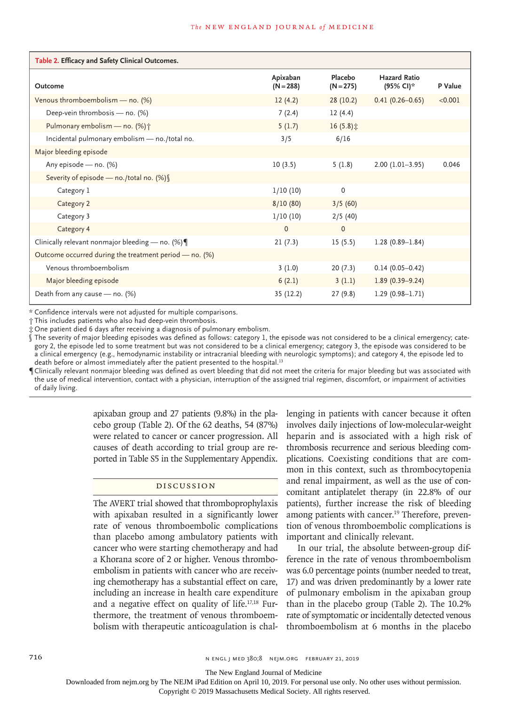| Table 2. Efficacy and Safety Clinical Outcomes.        |                         |                        |                                  |         |
|--------------------------------------------------------|-------------------------|------------------------|----------------------------------|---------|
| Outcome                                                | Apixaban<br>$(N = 288)$ | Placebo<br>$(N = 275)$ | <b>Hazard Ratio</b><br>(95% CI)* | P Value |
| Venous thromboembolism - no. (%)                       | 12(4.2)                 | 28(10.2)               | $0.41(0.26 - 0.65)$              | < 0.001 |
| Deep-vein thrombosis - no. (%)                         | 7(2.4)                  | 12(4.4)                |                                  |         |
| Pulmonary embolism - no. (%) +                         | 5(1.7)                  | $16(5.8)$ :            |                                  |         |
| Incidental pulmonary embolism - no./total no.          | 3/5                     | 6/16                   |                                  |         |
| Major bleeding episode                                 |                         |                        |                                  |         |
| Any episode - no. (%)                                  | 10(3.5)                 | 5(1.8)                 | $2.00(1.01-3.95)$                | 0.046   |
| Severity of episode - no./total no. (%) §              |                         |                        |                                  |         |
| Category 1                                             | 1/10(10)                | 0                      |                                  |         |
| Category 2                                             | 8/10(80)                | 3/5(60)                |                                  |         |
| Category 3                                             | 1/10(10)                | 2/5(40)                |                                  |         |
| Category 4                                             | $\mathbf{0}$            | $\mathbf{0}$           |                                  |         |
| Clinically relevant nonmajor bleeding — no. $(\%)\P$   | 21(7.3)                 | 15(5.5)                | $1.28(0.89 - 1.84)$              |         |
| Outcome occurred during the treatment period - no. (%) |                         |                        |                                  |         |
| Venous thromboembolism                                 | 3(1.0)                  | 20(7.3)                | $0.14(0.05 - 0.42)$              |         |
| Major bleeding episode                                 | 6(2.1)                  | 3(1.1)                 | $1.89(0.39 - 9.24)$              |         |
| Death from any cause - no. (%)                         | 35 (12.2)               | 27(9.8)                | $1.29(0.98 - 1.71)$              |         |

\* Confidence intervals were not adjusted for multiple comparisons.

† This includes patients who also had deep-vein thrombosis.

‡ One patient died 6 days after receiving a diagnosis of pulmonary embolism.

§ The severity of major bleeding episodes was defined as follows: category 1, the episode was not considered to be a clinical emergency; category 2, the episode led to some treatment but was not considered to be a clinical emergency; category 3, the episode was considered to be a clinical emergency (e.g., hemodynamic instability or intracranial bleeding with neurologic symptoms); and category 4, the episode led to death before or almost immediately after the patient presented to the hospital.<sup>13</sup>

¶ Clinically relevant nonmajor bleeding was defined as overt bleeding that did not meet the criteria for major bleeding but was associated with the use of medical intervention, contact with a physician, interruption of the assigned trial regimen, discomfort, or impairment of activities of daily living.

> apixaban group and 27 patients (9.8%) in the placebo group (Table 2). Of the 62 deaths, 54 (87%) were related to cancer or cancer progression. All causes of death according to trial group are reported in Table S5 in the Supplementary Appendix.

# Discussion

The AVERT trial showed that thromboprophylaxis with apixaban resulted in a significantly lower rate of venous thromboembolic complications than placebo among ambulatory patients with cancer who were starting chemotherapy and had a Khorana score of 2 or higher. Venous thromboembolism in patients with cancer who are receiving chemotherapy has a substantial effect on care, including an increase in health care expenditure and a negative effect on quality of life.17,18 Furthermore, the treatment of venous thromboembolism with therapeutic anticoagulation is challenging in patients with cancer because it often involves daily injections of low-molecular-weight heparin and is associated with a high risk of thrombosis recurrence and serious bleeding complications. Coexisting conditions that are common in this context, such as thrombocytopenia and renal impairment, as well as the use of concomitant antiplatelet therapy (in 22.8% of our patients), further increase the risk of bleeding among patients with cancer.<sup>19</sup> Therefore, prevention of venous thromboembolic complications is important and clinically relevant.

In our trial, the absolute between-group difference in the rate of venous thromboembolism was 6.0 percentage points (number needed to treat, 17) and was driven predominantly by a lower rate of pulmonary embolism in the apixaban group than in the placebo group (Table 2). The 10.2% rate of symptomatic or incidentally detected venous thromboembolism at 6 months in the placebo

716 n engl j med 380;8 nejm.org February 21, 2019

The New England Journal of Medicine

Downloaded from nejm.org by The NEJM iPad Edition on April 10, 2019. For personal use only. No other uses without permission.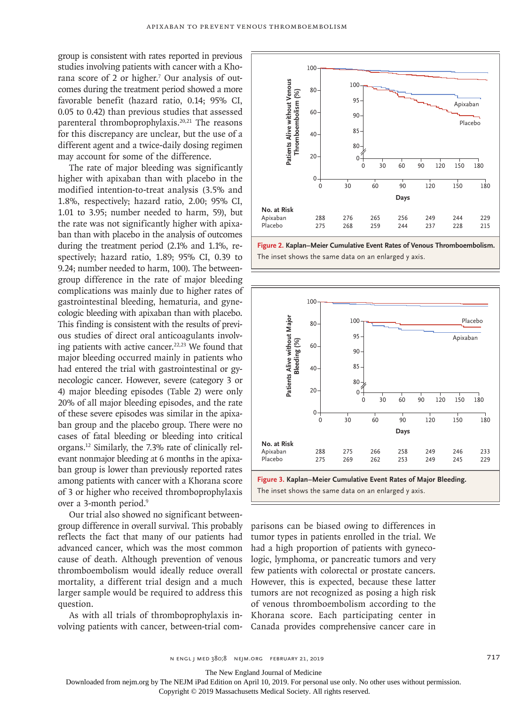group is consistent with rates reported in previous studies involving patients with cancer with a Khorana score of 2 or higher.<sup>7</sup> Our analysis of outcomes during the treatment period showed a more favorable benefit (hazard ratio, 0.14; 95% CI, 0.05 to 0.42) than previous studies that assessed parenteral thromboprophylaxis.<sup>20,21</sup> The reasons for this discrepancy are unclear, but the use of a different agent and a twice-daily dosing regimen may account for some of the difference.

The rate of major bleeding was significantly higher with apixaban than with placebo in the modified intention-to-treat analysis (3.5% and 1.8%, respectively; hazard ratio, 2.00; 95% CI, 1.01 to 3.95; number needed to harm, 59), but the rate was not significantly higher with apixaban than with placebo in the analysis of outcomes during the treatment period (2.1% and 1.1%, respectively; hazard ratio, 1.89; 95% CI, 0.39 to 9.24; number needed to harm, 100). The betweengroup difference in the rate of major bleeding complications was mainly due to higher rates of gastrointestinal bleeding, hematuria, and gynecologic bleeding with apixaban than with placebo. This finding is consistent with the results of previous studies of direct oral anticoagulants involving patients with active cancer.<sup>22,23</sup> We found that major bleeding occurred mainly in patients who had entered the trial with gastrointestinal or gynecologic cancer. However, severe (category 3 or 4) major bleeding episodes (Table 2) were only 20% of all major bleeding episodes, and the rate of these severe episodes was similar in the apixaban group and the placebo group. There were no cases of fatal bleeding or bleeding into critical organs.12 Similarly, the 7.3% rate of clinically relevant nonmajor bleeding at 6 months in the apixaban group is lower than previously reported rates among patients with cancer with a Khorana score of 3 or higher who received thromboprophylaxis over a 3-month period.9

Our trial also showed no significant betweengroup difference in overall survival. This probably reflects the fact that many of our patients had advanced cancer, which was the most common cause of death. Although prevention of venous thromboembolism would ideally reduce overall mortality, a different trial design and a much larger sample would be required to address this question.

As with all trials of thromboprophylaxis involving patients with cancer, between-trial com-



**Figure 2. Kaplan–Meier Cumulative Event Rates of Venous Thromboembolism.**



**Figure 3. Kaplan–Meier Cumulative Event Rates of Major Bleeding.**

parisons can be biased owing to differences in tumor types in patients enrolled in the trial. We had a high proportion of patients with gynecologic, lymphoma, or pancreatic tumors and very few patients with colorectal or prostate cancers. However, this is expected, because these latter tumors are not recognized as posing a high risk of venous thromboembolism according to the Khorana score. Each participating center in Canada provides comprehensive cancer care in

n engl j med 380;8 nejm.org February 21, 2019 717

The New England Journal of Medicine

Downloaded from nejm.org by The NEJM iPad Edition on April 10, 2019. For personal use only. No other uses without permission.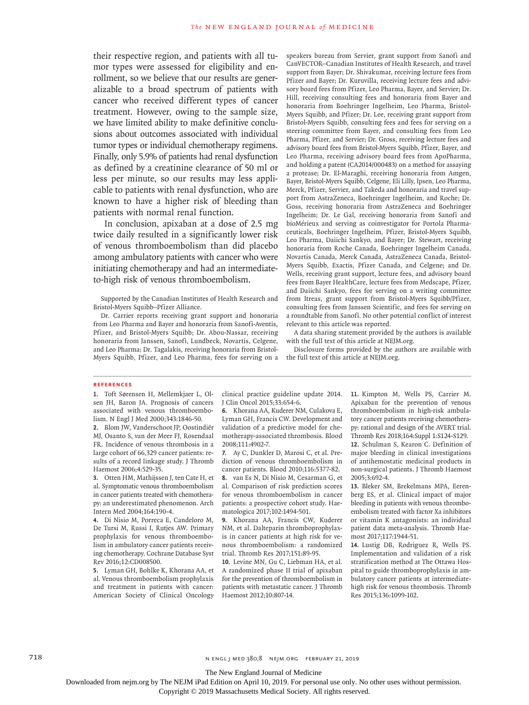their respective region, and patients with all tumor types were assessed for eligibility and enrollment, so we believe that our results are generalizable to a broad spectrum of patients with cancer who received different types of cancer treatment. However, owing to the sample size, we have limited ability to make definitive conclusions about outcomes associated with individual tumor types or individual chemotherapy regimens. Finally, only 5.9% of patients had renal dysfunction as defined by a creatinine clearance of 50 ml or less per minute, so our results may less applicable to patients with renal dysfunction, who are known to have a higher risk of bleeding than patients with normal renal function.

In conclusion, apixaban at a dose of 2.5 mg twice daily resulted in a significantly lower risk of venous thromboembolism than did placebo among ambulatory patients with cancer who were initiating chemotherapy and had an intermediateto-high risk of venous thromboembolism.

Supported by the Canadian Institutes of Health Research and Bristol-Myers Squibb–Pfizer Alliance.

Dr. Carrier reports receiving grant support and honoraria from Leo Pharma and Bayer and honoraria from Sanofi-Aventis, Pfizer, and Bristol-Myers Squibb; Dr. Abou-Nassar, receiving honoraria from Janssen, Sanofi, Lundbeck, Novartis, Celgene, and Leo Pharma; Dr. Tagalakis, receiving honoraria from Bristol-Myers Squibb, Pfizer, and Leo Pharma, fees for serving on a speakers bureau from Servier, grant support from Sanofi and CanVECTOR–Canadian Institutes of Health Research, and travel support from Bayer; Dr. Shivakumar, receiving lecture fees from Pfizer and Bayer; Dr. Kuruvilla, receiving lecture fees and advisory board fees from Pfizer, Leo Pharma, Bayer, and Servier; Dr. Hill, receiving consulting fees and honoraria from Bayer and honoraria from Boehringer Ingelheim, Leo Pharma, Bristol-Myers Squibb, and Pfizer; Dr. Lee, receiving grant support from Bristol-Myers Squibb, consulting fees and fees for serving on a steering committee from Bayer, and consulting fees from Leo Pharma, Pfizer, and Servier; Dr. Gross, receiving lecture fees and advisory board fees from Bristol-Myers Squibb, Pfizer, Bayer, and Leo Pharma, receiving advisory board fees from ApoPharma, and holding a patent (CA2014/000483) on a method for assaying a protease; Dr. El-Maraghi, receiving honoraria from Amgen, Bayer, Bristol-Myers Squibb, Celgene, Eli Lilly, Ipsen, Leo Pharma, Merck, Pfizer, Servier, and Takeda and honoraria and travel support from AstraZeneca, Boehringer Ingelheim, and Roche; Dr. Goss, receiving honoraria from AstraZeneca and Boehringer Ingelheim; Dr. Le Gal, receiving honoraria from Sanofi and bioMérieux and serving as coinvestigator for Portola Pharmaceuticals, Boehringer Ingelheim, Pfizer, Bristol-Myers Squibb, Leo Pharma, Daiichi Sankyo, and Bayer; Dr. Stewart, receiving honoraria from Roche Canada, Boehringer Ingelheim Canada, Novartis Canada, Merck Canada, AstraZeneca Canada, Bristol-Myers Squibb, Exactis, Pfizer Canada, and Celgene; and Dr. Wells, receiving grant support, lecture fees, and advisory board fees from Bayer HealthCare, lecture fees from Medscape, Pfizer, and Daiichi Sankyo, fees for serving on a writing committee from Itreas, grant support from Bristol-Myers Squibb/Pfizer, consulting fees from Janssen Scientific, and fees for serving on a roundtable from Sanofi. No other potential conflict of interest relevant to this article was reported.

A data sharing statement provided by the authors is available with the full text of this article at NEJM.org.

Disclosure forms provided by the authors are available with the full text of this article at NEJM.org.

#### **References**

**1.** Toft Sørensen H, Mellemkjaer L, Olsen JH, Baron JA. Prognosis of cancers associated with venous thromboembolism. N Engl J Med 2000;343:1846-50.

**2.** Blom JW, Vanderschoot JP, Oostindiër MJ, Osanto S, van der Meer FJ, Rosendaal FR. Incidence of venous thrombosis in a large cohort of 66,329 cancer patients: results of a record linkage study. J Thromb Haemost 2006;4:529-35.

**3.** Otten HM, Mathijssen J, ten Cate H, et al. Symptomatic venous thromboembolism in cancer patients treated with chemotherapy: an underestimated phenomenon. Arch Intern Med 2004;164:190-4.

**4.** Di Nisio M, Porreca E, Candeloro M, De Tursi M, Russi I, Rutjes AW. Primary prophylaxis for venous thromboembolism in ambulatory cancer patients receiving chemotherapy. Cochrane Database Syst Rev 2016;12:CD008500.

**5.** Lyman GH, Bohlke K, Khorana AA, et al. Venous thromboembolism prophylaxis and treatment in patients with cancer: American Society of Clinical Oncology

clinical practice guideline update 2014. J Clin Oncol 2015;33:654-6.

**6.** Khorana AA, Kuderer NM, Culakova E, Lyman GH, Francis CW. Development and validation of a predictive model for chemotherapy-associated thrombosis. Blood 2008;111:4902-7.

**7.** Ay C, Dunkler D, Marosi C, et al. Prediction of venous thromboembolism in cancer patients. Blood 2010;116:5377-82. **8.** van Es N, Di Nisio M, Cesarman G, et

al. Comparison of risk prediction scores for venous thromboembolism in cancer patients: a prospective cohort study. Haematologica 2017;102:1494-501.

**9.** Khorana AA, Francis CW, Kuderer NM, et al. Dalteparin thromboprophylaxis in cancer patients at high risk for venous thromboembolism: a randomized trial. Thromb Res 2017;151:89-95.

**10.** Levine MN, Gu C, Liebman HA, et al. A randomized phase II trial of apixaban for the prevention of thromboembolism in patients with metastatic cancer. J Thromb Haemost 2012;10:807-14.

**11.** Kimpton M, Wells PS, Carrier M. Apixaban for the prevention of venous thromboembolism in high-risk ambulatory cancer patients receiving chemotherapy: rational and design of the AVERT trial. Thromb Res 2018;164:Suppl 1:S124-S129.

**12.** Schulman S, Kearon C. Definition of major bleeding in clinical investigations of antihemostatic medicinal products in non-surgical patients. J Thromb Haemost 2005;3:692-4.

**13.** Bleker SM, Brekelmans MPA, Eerenberg ES, et al. Clinical impact of major bleeding in patients with venous thromboembolism treated with factor Xa inhibitors or vitamin K antagonists: an individual patient data meta-analysis. Thromb Haemost 2017;117:1944-51.

**14.** Lustig DB, Rodriguez R, Wells PS. Implementation and validation of a risk stratification method at The Ottawa Hospital to guide thromboprophylaxis in ambulatory cancer patients at intermediatehigh risk for venous thrombosis. Thromb Res 2015;136:1099-102.

718 n engl j med 380;8 nejm.org February 21, 2019

The New England Journal of Medicine

Downloaded from nejm.org by The NEJM iPad Edition on April 10, 2019. For personal use only. No other uses without permission.